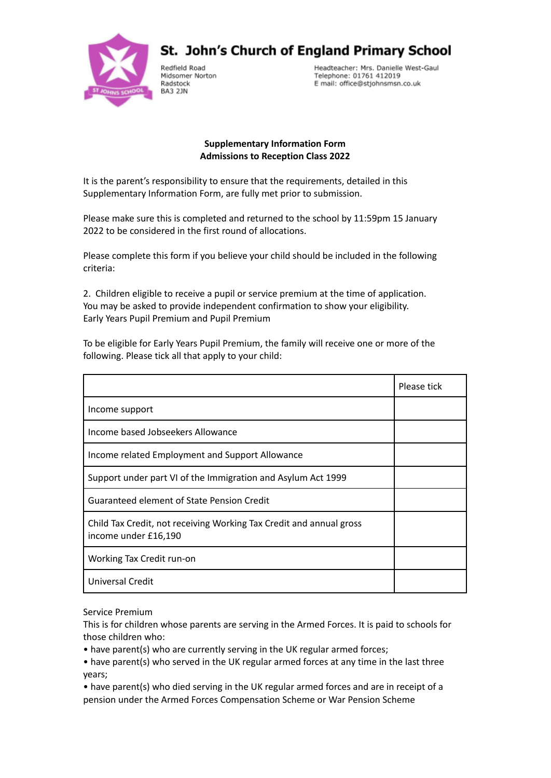

St. John's Church of England Primary School

Redfield Road Midsomer Norton Radstock BA3 2JN

Headteacher: Mrs. Danielle West-Gaul Telephone: 01761 412019 E mail: office@stjohnsmsn.co.uk

## **Supplementary Information Form Admissions to Reception Class 2022**

It is the parent's responsibility to ensure that the requirements, detailed in this Supplementary Information Form, are fully met prior to submission.

Please make sure this is completed and returned to the school by 11:59pm 15 January 2022 to be considered in the first round of allocations.

Please complete this form if you believe your child should be included in the following criteria:

2. Children eligible to receive a pupil or service premium at the time of application. You may be asked to provide independent confirmation to show your eligibility. Early Years Pupil Premium and Pupil Premium

To be eligible for Early Years Pupil Premium, the family will receive one or more of the following. Please tick all that apply to your child:

|                                                                                             | Please tick |
|---------------------------------------------------------------------------------------------|-------------|
| Income support                                                                              |             |
| Income based Jobseekers Allowance                                                           |             |
| Income related Employment and Support Allowance                                             |             |
| Support under part VI of the Immigration and Asylum Act 1999                                |             |
| Guaranteed element of State Pension Credit                                                  |             |
| Child Tax Credit, not receiving Working Tax Credit and annual gross<br>income under £16,190 |             |
| Working Tax Credit run-on                                                                   |             |
| Universal Credit                                                                            |             |

Service Premium

This is for children whose parents are serving in the Armed Forces. It is paid to schools for those children who:

• have parent(s) who are currently serving in the UK regular armed forces;

• have parent(s) who served in the UK regular armed forces at any time in the last three years;

• have parent(s) who died serving in the UK regular armed forces and are in receipt of a pension under the Armed Forces Compensation Scheme or War Pension Scheme